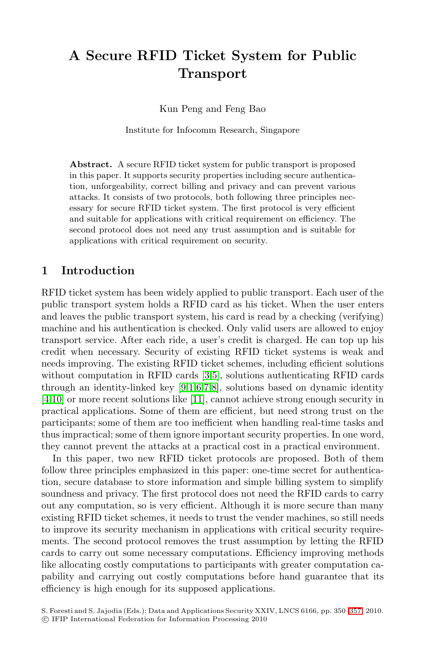# **A Secure RFID Ticket System for Public Transport**

Kun Peng and Feng Bao

Institute for Infocomm Research, Singapore

**Abstract.** A secure RFID ticket system for public transport is proposed in this paper. It supports security properties including secure authentication, unforgeability, correct billing and privacy and can prevent various attacks. It consists of two protocols, both following three principles necessary for secure RFID ticket system. The first protocol is very efficient and suitable for applications with critical requirement on efficiency. The second protocol does not need any trust assumption and is suitable for applications with critical requirement on security.

### **1 Introduction**

RFID ticket [sy](#page-7-2)[st](#page-7-3)[em](#page-7-4)[ha](#page-7-6)s been widely applied to public transport. Each user of the public transpor[t sy](#page-7-7)stem holds a RFID card as his ticket. When the user enters and leaves the public transport system, his card is read by a checking (verifying) machine and his authentication is checked. Only valid users are allowed to enjoy transport service. After each ride, a user's credit is charged. He can top up his credit when necessary. Security of existing RFID ticket systems is weak and needs improving. The existing RFID ticket schemes, including efficient solutions without computation in RFID cards [3,5], solutions authenticating RFID cards through an identity-linked key [9,1,6,7,8], solutions based on dynamic identity [4,10] or more recent solutions like [11], cannot achieve strong enough security in practical applications. Some of them are efficient, but need strong trust on the participants; some of them are too inefficient when handling real-time tasks and thus impractical; some of them ignore important security properties. In one word, they cannot prevent the attacks at a practical cost in a practical environment.

In this paper, two new RFID ticket protocols are proposed. Both of them follow three principles emphasized in this paper: one-time secret for authentication, secure database to store information and simple billing system to simplify soundness and privacy. The first protocol does not need the RFID cards to carry out any computation, so is very efficient. Although it is more secure than many existing RFID ticket schemes, it needs to trust the ve[nder](#page-7-8) machines, so still needs to improve its security mechanism in applications with critical security requirements. The second protocol removes the trust assumption by letting the RFID cards to carry out some necessary computations. Efficiency improving methods like allocating costly computations to participants with greater computation capability and carrying out costly computations before hand guarantee that its efficiency is high enough for its supposed applications.

S. Foresti and S. Jajodia (Eds.): Data and Applications Security XXIV, LNCS 6166, pp. 350–357, 2010. -c IFIP International Federation for Information Processing 2010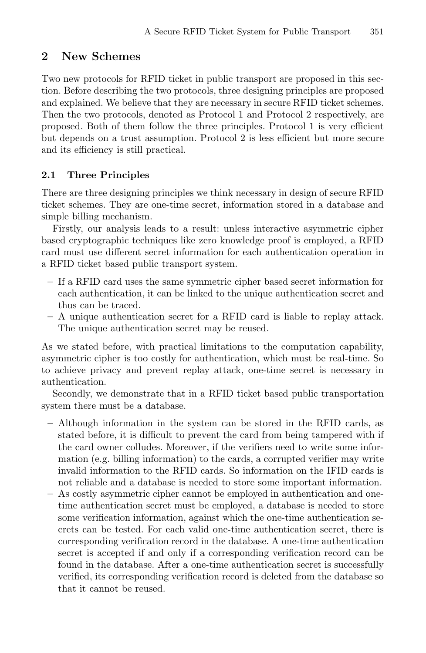## **2 New Schemes**

Two new protocols for RFID ticket in public transport are proposed in this section. Before describing the two protocols, three designing principles are proposed and explained. We believe that they are necessary in secure RFID ticket schemes. Then the two protocols, denoted as Protocol 1 and Protocol 2 respectively, are proposed. Both of them follow the three principles. Protocol 1 is very efficient but depends on a trust assumption. Protocol 2 is less efficient but more secure and its efficiency is still practical.

### **2.1 Three Principles**

There are three designing principles we think necessary in design of secure RFID ticket schemes. They are one-time secret, information stored in a database and simple billing mechanism.

Firstly, our analysis leads to a result: unless interactive asymmetric cipher based cryptographic techniques like zero knowledge proof is employed, a RFID card must use different secret information for each authentication operation in a RFID ticket based public transport system.

- **–** If a RFID card uses the same symmetric cipher based secret information for each authentication, it can be linked to the unique authentication secret and thus can be traced.
- **–** A unique authentication secret for a RFID card is liable to replay attack. The unique authentication secret may be reused.

As we stated before, with practical limitations to the computation capability, asymmetric cipher is too costly for authentication, which must be real-time. So to achieve privacy and prevent replay attack, one-time secret is necessary in authentication.

Secondly, we demonstrate that in a RFID ticket based public transportation system there must be a database.

- **–** Although information in the system can be stored in the RFID cards, as stated before, it is difficult to prevent the card from being tampered with if the card owner colludes. Moreover, if the verifiers need to write some information (e.g. billing information) to the cards, a corrupted verifier may write invalid information to the RFID cards. So information on the IFID cards is not reliable and a database is needed to store some important information.
- **–** As costly asymmetric cipher cannot be employed in authentication and onetime authentication secret must be employed, a database is needed to store some verification information, against which the one-time authentication secrets can be tested. For each valid one-time authentication secret, there is corresponding verification record in the database. A one-time authentication secret is accepted if and only if a corresponding verification record can be found in the database. After a one-time authentication secret is successfully verified, its corresponding verification record is deleted from the database so that it cannot be reused.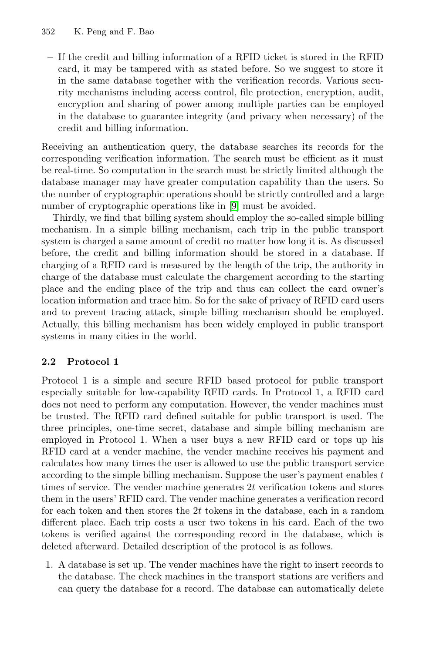#### 352 K. Peng and F. Bao

**–** If the credit and billing information of a RFID ticket is stored in the RFID card, it may be tampered with as stated before. So we suggest to store it in the same database together with the verification records. Various security mechanisms including access control, file protection, encryption, audit, encryption and sharing of power among multiple parties can be employed in the database to g[ua](#page-7-2)rantee integrity (and privacy when necessary) of the credit and billing information.

Receiving an authentication query, the database searches its records for the corresponding verification information. The search must be efficient as it must be real-time. So computation in the search must be strictly limited although the database manager may have greater computation capability than the users. So the number of cryptographic operations should be strictly controlled and a large number of cryptographic operations like in [9] must be avoided.

Thirdly, we find that billing system should employ the so-called simple billing mechanism. In a simple billing mechanism, each trip in the public transport system is charged a same amount of credit no matter how long it is. As discussed before, the credit and billing information should be stored in a database. If charging of a RFID card is measured by the length of the trip, the authority in charge of the database must calculate the chargement according to the starting place and the ending place of the trip and thus can collect the card owner's location information and trace him. So for the sake of privacy of RFID card users and to prevent tracing attack, simple billing mechanism should be employed. Actually, this billing mechanism has been widely employed in public transport systems in many cities in the world.

#### **2.2 Protocol 1**

Protocol 1 is a simple and secure RFID based protocol for public transport especially suitable for low-capability RFID cards. In Protocol 1, a RFID card does not need to perform any computation. However, the vender machines must be trusted. The RFID card defined suitable for public transport is used. The three principles, one-time secret, database and simple billing mechanism are employed in Protocol 1. When a user buys a new RFID card or tops up his RFID card at a vender machine, the vender machine receives his payment and calculates how many times the user is allowed to use the public transport service according to the simple billing mechanism. Suppose the user's payment enables t times of service. The vender machine generates 2t verification tokens and stores them in the users' RFID card. The vender machine generates a verification record for each token and then stores the 2t tokens in the database, each in a random different place. Each trip costs a user two tokens in his card. Each of the two tokens is verified against the corresponding record in the database, which is deleted afterward. Detailed description of the protocol is as follows.

1. A database is set up. The vender machines have the right to insert records to the database. The check machines in the transport stations are verifiers and can query the database for a record. The database can automatically delete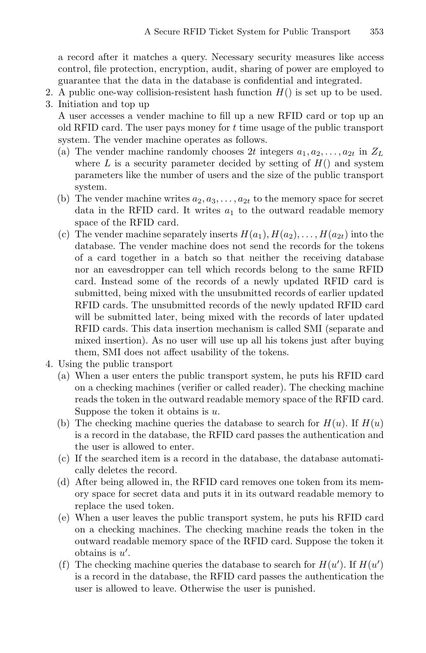a record after it matches a query. Necessary security measures like access control, file protection, encryption, audit, sharing of power are employed to guarantee that the data in the database is confidential and integrated.

- 2. A public one-way collision-resistent hash function  $H()$  is set up to be used.
- 3. Initiation and top up

A user accesses a vender machine to fill up a new RFID card or top up an old RFID card. The user pays money for  $t$  time usage of the public transport system. The vender machine operates as follows.

- (a) The vender machine randomly chooses 2t integers  $a_1, a_2, \ldots, a_{2t}$  in  $Z_L$ where L is a security parameter decided by setting of  $H()$  and system parameters like the number of users and the size of the public transport system.
- (b) The vender machine writes  $a_2, a_3, \ldots, a_{2t}$  to the memory space for secret data in the RFID card. It writes  $a_1$  to the outward readable memory space of the RFID card.
- (c) The vender machine separately inserts  $H(a_1), H(a_2), \ldots, H(a_{2t})$  into the database. The vender machine does not send the records for the tokens of a card together in a batch so that neither the receiving database nor an eavesdropper can tell which records belong to the same RFID card. Instead some of the records of a newly updated RFID card is submitted, being mixed with the unsubmitted records of earlier updated RFID cards. The unsubmitted records of the newly updated RFID card will be submitted later, being mixed with the records of later updated RFID cards. This data insertion mechanism is called SMI (separate and mixed insertion). As no user will use up all his tokens just after buying them, SMI does not affect usability of the tokens.
- 4. Using the public transport
	- (a) When a user enters the public transport system, he puts his RFID card on a checking machines (verifier or called reader). The checking machine reads the token in the outward readable memory space of the RFID card. Suppose the token it obtains is  $u$ .
	- (b) The checking machine queries the database to search for  $H(u)$ . If  $H(u)$ is a record in the database, the RFID card passes the authentication and the user is allowed to enter.
	- (c) If the searched item is a record in the database, the database automatically deletes the record.
	- (d) After being allowed in, the RFID card removes one token from its memory space for secret data and puts it in its outward readable memory to replace the used token.
	- (e) When a user leaves the public transport system, he puts his RFID card on a checking machines. The checking machine reads the token in the outward readable memory space of the RFID card. Suppose the token it obtains is  $u'$ .
	- (f) The checking machine queries the database to search for  $H(u')$ . If  $H(u')$ is a record in the database, the RFID card passes the authentication the user is allowed to leave. Otherwise the user is punished.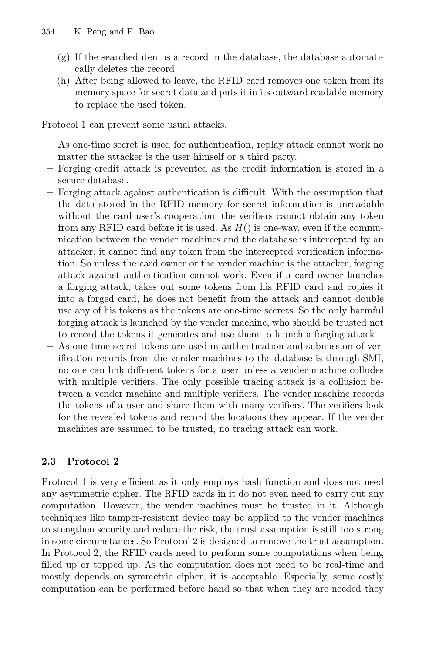- (g) If the searched item is a record in the database, the database automatically deletes the record.
- (h) After being allowed to leave, the RFID card removes one token from its memory space for secret data and puts it in its outward readable memory to replace the used token.

Protocol 1 can prevent some usual attacks.

- **–** As one-time secret is used for authentication, replay attack cannot work no matter the attacker is the user himself or a third party.
- **–** Forging credit attack is prevented as the credit information is stored in a secure database.
- **–** Forging attack against authentication is difficult. With the assumption that the data stored in the RFID memory for secret information is unreadable without the card user's cooperation, the verifiers cannot obtain any token from any RFID card before it is used. As  $H()$  is one-way, even if the communication between the vender machines and the database is intercepted by an attacker, it cannot find any token from the intercepted verification information. So unless the card owner or the vender machine is the attacker, forging attack against authentication cannot work. Even if a card owner launches a forging attack, takes out some tokens from his RFID card and copies it into a forged card, he does not benefit from the attack and cannot double use any of his tokens as the tokens are one-time secrets. So the only harmful forging attack is launched by the vender machine, who should be trusted not to record the tokens it generates and use them to launch a forging attack.
- **–** As one-time secret tokens are used in authentication and submission of verification records from the vender machines to the database is through SMI, no one can link different tokens for a user unless a vender machine colludes with multiple verifiers. The only possible tracing attack is a collusion between a vender machine and multiple verifiers. The vender machine records the tokens of a user and share them with many verifiers. The verifiers look for the revealed tokens and record the locations they appear. If the vender machines are assumed to be trusted, no tracing attack can work.

### **2.3 Protocol 2**

Protocol 1 is very efficient as it only employs hash function and does not need any asymmetric cipher. The RFID cards in it do not even need to carry out any computation. However, the vender machines must be trusted in it. Although techniques like tamper-resistent device may be applied to the vender machines to stengthen security and reduce the risk, the trust assumption is still too strong in some circumstances. So Protocol 2 is designed to remove the trust assumption. In Protocol 2, the RFID cards need to perform some computations when being filled up or topped up. As the computation does not need to be real-time and mostly depends on symmetric cipher, it is acceptable. Especially, some costly computation can be performed before hand so that when they are needed they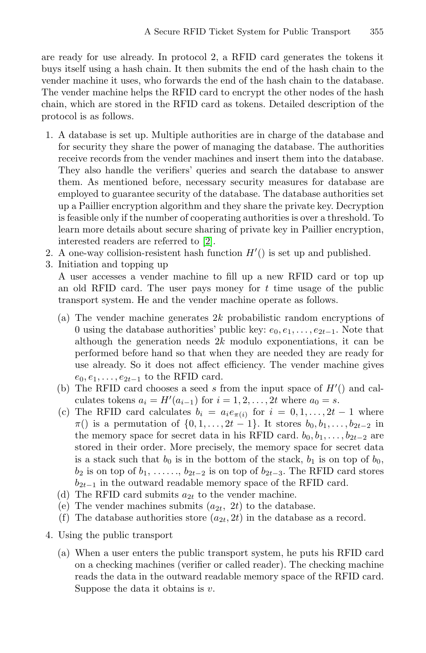are ready for use already. In protocol 2, a RFID card generates the tokens it buys itself using a hash chain. It then submits the end of the hash chain to the vender machine it uses, who forwards the end of the hash chain to the database. The vender machine helps the RFID card to encrypt the other nodes of the hash chain, which are stored in the RFID card as tokens. Detailed description of the protocol is as follows.

- 1. A database is set up. Multiple authorities are in charge of the database and for security th[ey](#page-7-9) share the power of managing the database. The authorities receive records from the vender machines and insert them into the database. They also handle the verifiers' queries and search the database to answer them. As mentioned before, necessary security measures for database are employed to guarantee security of the database. The database authorities set up a Paillier encryption algorithm and they share the private key. Decryption is feasible only if the number of cooperating authorities is over a threshold. To learn more details about secure sharing of private key in Paillier encryption, interested readers are referred to [2].
- 2. A one-way collision-resistent hash function  $H'()$  is set up and published.
- 3. Initiation and topping up

A user accesses a vender machine to fill up a new RFID card or top up an old RFID card. The user pays money for  $t$  time usage of the public transport system. He and the vender machine operate as follows.

- (a) The vender machine generates  $2k$  probabilistic random encryptions of 0 using the database authorities' public key:  $e_0, e_1, \ldots, e_{2t-1}$ . Note that although the generation needs  $2k$  modulo exponentiations, it can be performed before hand so that when they are needed they are ready for use already. So it does not affect efficiency. The vender machine gives  $e_0, e_1, \ldots, e_{2t-1}$  to the RFID card.
- (b) The RFID card chooses a seed s from the input space of  $H'$  and calculates tokens  $a_i = H'(a_{i-1})$  for  $i = 1, 2, ..., 2t$  where  $a_0 = s$ .
- (c) The RFID card calculates  $b_i = a_i e_{\pi(i)}$  for  $i = 0, 1, \ldots, 2t 1$  where  $\pi()$  is a permutation of  $\{0, 1, \ldots, 2t - 1\}$ . It stores  $b_0, b_1, \ldots, b_{2t-2}$  in the memory space for secret data in his RFID card.  $b_0, b_1, \ldots, b_{2t-2}$  are stored in their order. More precisely, the memory space for secret data is a stack such that  $b_0$  is in the bottom of the stack,  $b_1$  is on top of  $b_0$ ,  $b_2$  is on top of  $b_1, \ldots, b_{2t-2}$  is on top of  $b_{2t-3}$ . The RFID card stores  $b_{2t-1}$  in the outward readable memory space of the RFID card.
- (d) The RFID card submits  $a_{2t}$  to the vender machine.
- (e) The vender machines submits  $(a_{2t}, 2t)$  to the database.
- (f) The database authorities store  $(a_{2t}, 2t)$  in the database as a record.
- 4. Using the public transport
	- (a) When a user enters the public transport system, he puts his RFID card on a checking machines (verifier or called reader). The checking machine reads the data in the outward readable memory space of the RFID card. Suppose the data it obtains is  $v$ .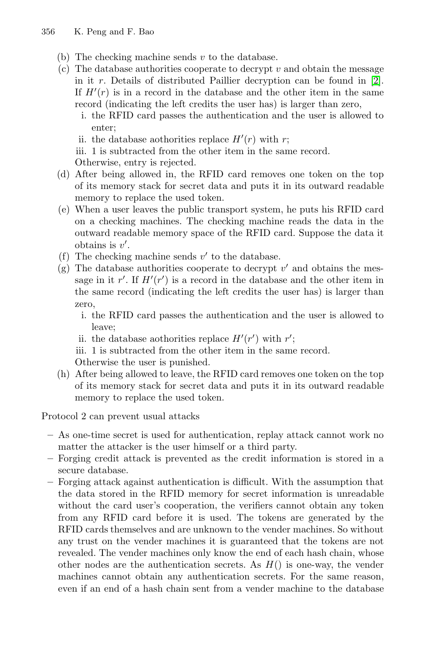- 356 K. Peng and F. Bao
	- (b) The checking machine sends  $v$  to the database.
	- (c) The database authorities cooperate to decrypt  $v$  and obtain the message in it  $r$ . Details of distributed Paillier decryption can be found in  $[2]$ . If  $H'(r)$  is in a record in the database and the other item in the same record (indicating the left credits the user has) is larger than zero,
		- i. the RFID card passes the authentication and the user is allowed to enter;
		- ii. the database aothorities replace  $H'(r)$  with r;

iii. 1 is subtracted from the other item in the same record. Otherwise, entry is rejected.

- (d) After being allowed in, the RFID card removes one token on the top of its memory stack for secret data and puts it in its outward readable memory to replace the used token.
- (e) When a user leaves the public transport system, he puts his RFID card on a checking machines. The checking machine reads the data in the outward readable memory space of the RFID card. Suppose the data it obtains is  $v'$ .
- (f) The checking machine sends  $v'$  to the database.
- (g) The database authorities cooperate to decrypt  $v'$  and obtains the message in it r'. If  $H'(r')$  is a record in the database and the other item in the same record (indicating the left credits the user has) is larger than zero,
	- i. the RFID card passes the authentication and the user is allowed to leave;
	- ii. the database aothorities replace  $H'(r')$  with r';
	- iii. 1 is subtracted from the other item in the same record.
	- Otherwise the user is punished.
- (h) After being allowed to leave, the RFID card removes one token on the top of its memory stack for secret data and puts it in its outward readable memory to replace the used token.

Protocol 2 can prevent usual attacks

- **–** As one-time secret is used for authentication, replay attack cannot work no matter the attacker is the user himself or a third party.
- **–** Forging credit attack is prevented as the credit information is stored in a secure database.
- **–** Forging attack against authentication is difficult. With the assumption that the data stored in the RFID memory for secret information is unreadable without the card user's cooperation, the verifiers cannot obtain any token from any RFID card before it is used. The tokens are generated by the RFID cards themselves and are unknown to the vender machines. So without any trust on the vender machines it is guaranteed that the tokens are not revealed. The vender machines only know the end of each hash chain, whose other nodes are the authentication secrets. As  $H()$  is one-way, the vender machines cannot obtain any authentication secrets. For the same reason, even if an end of a hash chain sent from a vender machine to the database